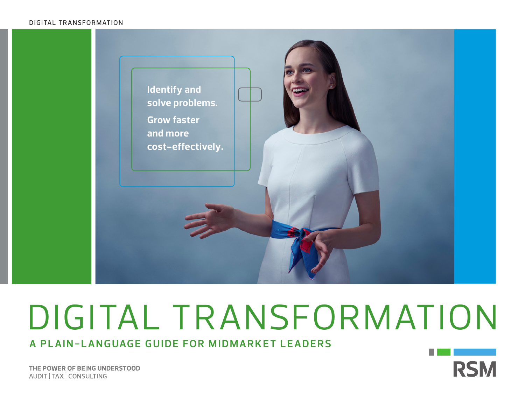### DIGITAL TRANSFORMATION



# DIGITAL TRANSFORMATION

**A PLAIN-LANGUAGE GUIDE FOR MIDMARKET LEADERS**

THE POWER OF BEING UNDERSTOOD AUDIT | TAX | CONSULTING

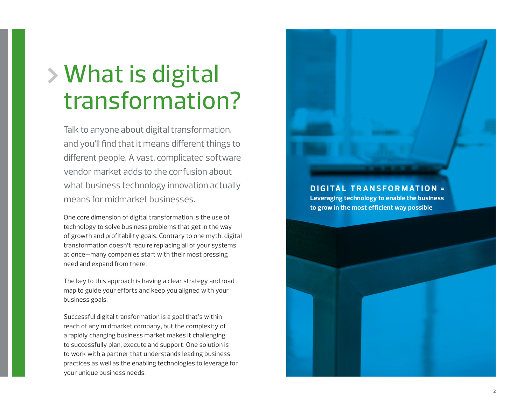# What is digital transformation?

Talk to anyone about digital transformation, and you'll find that it means different things to different people. A vast, complicated software vendor market adds to the confusion about what business technology innovation actually means for midmarket businesses.

One core dimension of digital transformation is the use of technology to solve business problems that get in the way of growth and profitability goals. Contrary to one myth, digital transformation doesn't require replacing all of your systems at once—many companies start with their most pressing need and expand from there.

The key to this approach is having a clear strategy and road map to guide your efforts and keep you aligned with your business goals.

Successful digital transformation is a goal that's within reach of any midmarket company, but the complexity of a rapidly changing business market makes it challenging to successfully plan, execute and support. One solution is to work with a partner that understands leading business practices as well as the enabling technologies to leverage for your unique business needs.

**DIGITAL TRANSFORMATION = Leveraging technology to enable the business to grow in the most efficient way possible**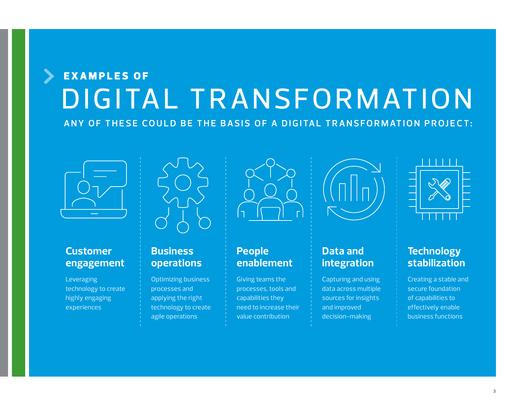## EXAMPLES OF DIGITAL TRANSFORMATION ANY OF THESE COULD BE THE BASIS OF A DIGITAL TRANSFORMATION PROJECT:





### **Customer engagement**

Leveraging technology to create highly engaging experiences

### **Business operations**

Optimizing business processes and applying the right technology to create agile operations



### **People enablement**

Giving teams the processes, tools and capabilities they need to increase their value contribution



### **Data and integration**

Capturing and using data across multiple sources for insights and improved decision-making



### **Technology stabilization**

Creating a stable and secure foundation of capabilities to effectively enable business functions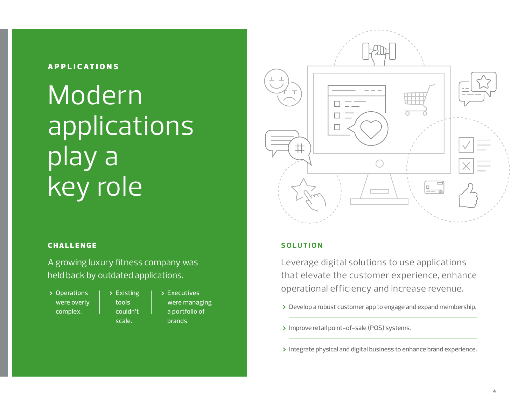### **APPLICATIONS**

# Modern applications play a key role

# $\sharp$

### **CHALLENGE**

A growing luxury fitness company was held back by outdated applications.

Operations were overly complex.

Existing tools couldn't scale.

Executives were managing a portfolio of brands.

### **S O L U T I O N**

Leverage digital solutions to use applications that elevate the customer experience, enhance operational efficiency and increase revenue.

- > Develop a robust customer app to engage and expand membership.
- > Improve retail point-of-sale (POS) systems.
- > Integrate physical and digital business to enhance brand experience.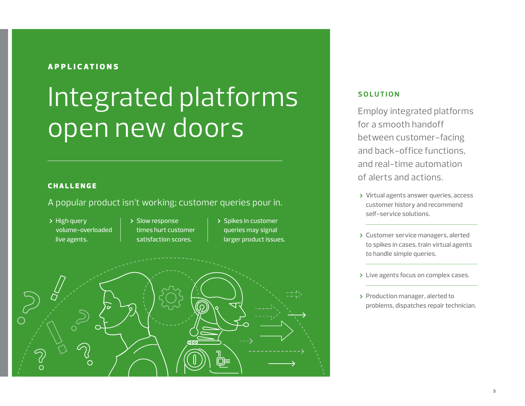### **APPLICATIONS**

# Integrated platforms open new doors

### **CHALLENGE**

### A popular product isn't working; customer queries pour in.

> High query volume-overloaded live agents.

- > Slow response times hurt customer satisfaction scores.
- > Spikes in customer queries may signal larger product issues.



### **S O L U T I O N**

Employ integrated platforms for a smooth handoff between customer-facing and back-office functions, and real-time automation of alerts and actions.

- > Virtual agents answer queries, access customer history and recommend self-service solutions.
- > Customer service managers, alerted to spikes in cases, train virtual agents to handle simple queries.
- > Live agents focus on complex cases.
- > Production manager, alerted to problems, dispatches repair technician.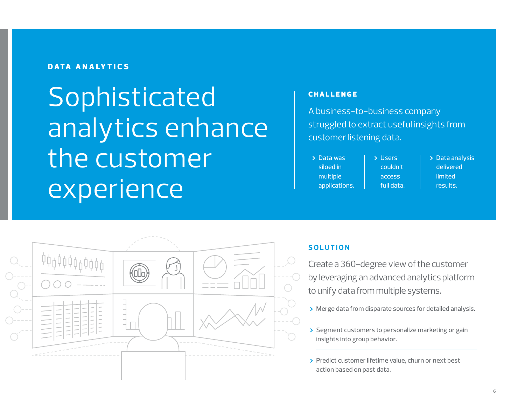### DATA ANALYTICS

**Sophisticated** analytics enhance the customer experience

### **CHALLENGE**

A business-to-business company struggled to extract useful insights from customer listening data.

| $\triangleright$ Data was | <b>D</b> Users | $\triangleright$ Data analysis |
|---------------------------|----------------|--------------------------------|
| siloed in                 | couldn't       | delivered                      |
| multiple                  | access         | limited                        |
| applications.             | full data.     | results.                       |



### **SOLUTION**

Create a 360-degree view of the customer by leveraging an advanced analytics platform to unify data from multiple systems.

- > Merge data from disparate sources for detailed analysis.
- Segment customers to personalize marketing or gain insights into group behavior.
- > Predict customer lifetime value, churn or next best action based on past data.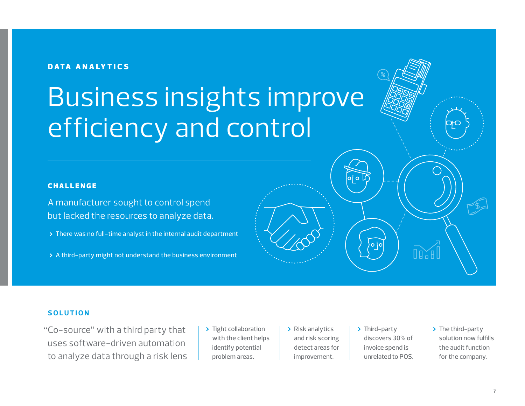### DATA ANALYTICS

# Business insights improve efficiency and control

### **CHALLENGE**

A manufacturer sought to control spend but lacked the resources to analyze data.

- > There was no full-time analyst in the internal audit department
- > A third-party might not understand the business environment

### **SOLUTION**

"Co-source" with a third party that  $\qquad$  > Tight collaboration  $\qquad$  > Risk analytics  $\qquad$  > Third-party uses software-driven automation to analyze data through a risk lens

- > Tight collaboration with the client helps identify potential problem areas.
- Risk analytics and risk scoring detect areas for improvement.
- discovers 30% of invoice spend is unrelated to POS.
- $\triangleright$  The third-party solution now fulfills the audit function for the company.

 $\mathbb{R}$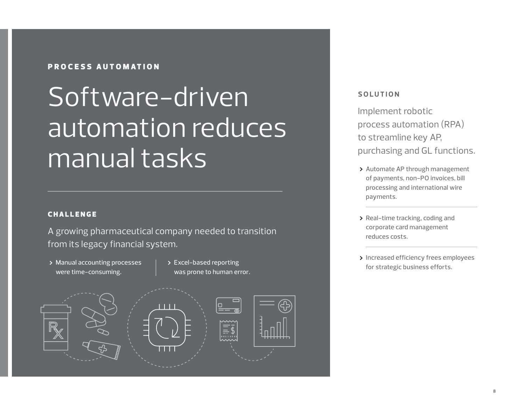### PROCESS AUTOMATION

# Software-driven automation reduces manual tasks

### **CHALLENGE**

A growing pharmaceutical company needed to transition from its legacy financial system.

- > Manual accounting processes were time-consuming.
- Excel-based reporting was prone to human error.



### **S O L U T I O N**

Implement robotic process automation (RPA) to streamline key AP, purchasing and GL functions.

- > Automate AP through management of payments, non-PO invoices, bill processing and international wire payments.
- > Real-time tracking, coding and corporate card management reduces costs.
- > Increased efficiency frees employees for strategic business efforts.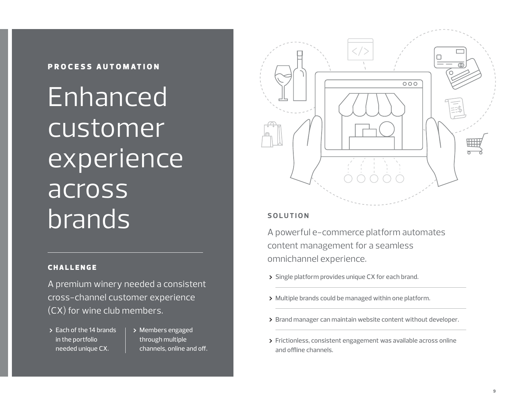### PROCESS AUTOMATION

Enhanced customer **experience** across brands

### **CHALLENGE**

A premium winery needed a consistent cross-channel customer experience (CX) for wine club members.

### Each of the 14 brands in the portfolio needed unique CX.

> Members engaged through multiple channels, online and off.



### **S O L U T I O N**

A powerful e-commerce platform automates content management for a seamless omnichannel experience.

- > Single platform provides unique CX for each brand.
- Multiple brands could be managed within one platform.
- > Brand manager can maintain website content without developer.
- Frictionless, consistent engagement was available across online and offline channels.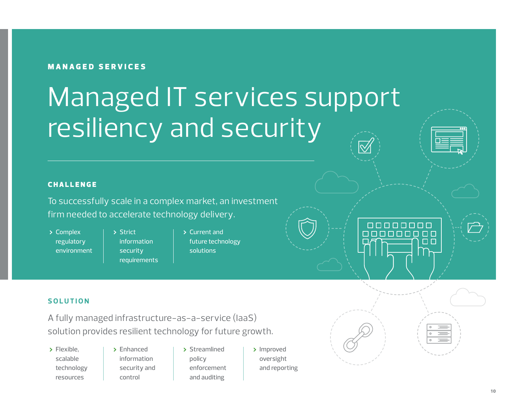### MANAGED SERVICES

# Managed IT services support resiliency and security

### **CHALLENGE**

To successfully scale in a complex market, an investment firm needed to accelerate technology delivery.

- Complex regulatory environment
- > Strict information security requirements
- Current and future technology solutions



### **S O L U T I O N**

A fully managed infrastructure-as-a-service (IaaS) solution provides resilient technology for future growth.

- > Flexible. scalable technology resources
- > Enhanced information security and control
- > Streamlined policy enforcement and auditing
- > Improved oversight and reporting

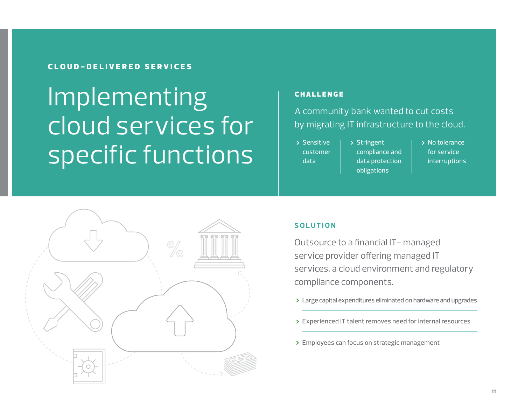### CLOUD-DELIVERED SERVICES

# Implementing cloud services for specific functions

### **CHALLENGE**

A community bank wanted to cut costs by migrating IT infrastructure to the cloud.

> Sensitive customer data

> Stringent compliance and data protection obligations

> No tolerance for service interruptions



### **S O L U T I O N**

Outsource to a financial IT- managed service provider offering managed IT services, a cloud environment and regulatory compliance components.

- Large capital expenditures eliminated on hardware and upgrades
- Experienced IT talent removes need for internal resources
- > Employees can focus on strategic management